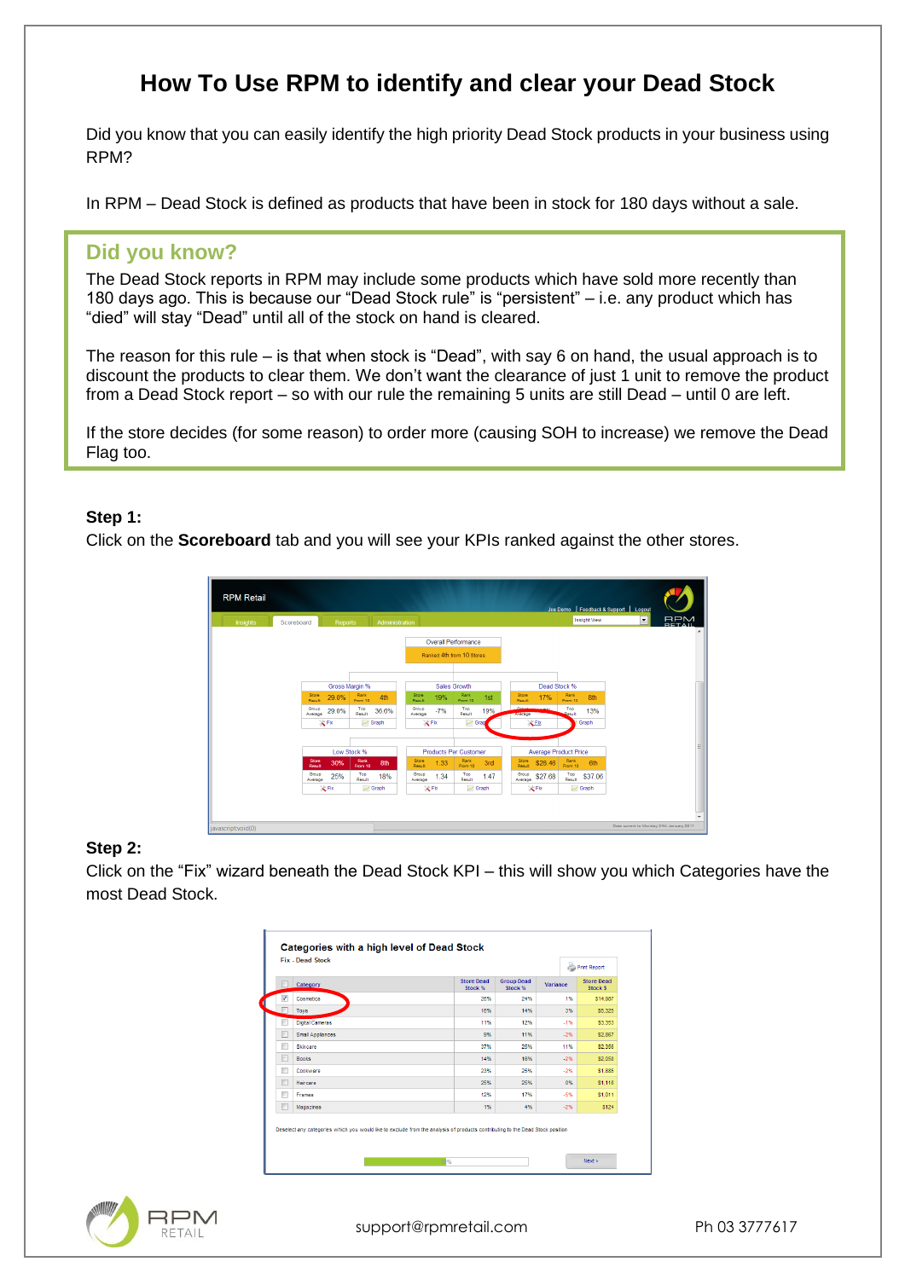# **How To Use RPM to identify and clear your Dead Stock**

Did you know that you can easily identify the high priority Dead Stock products in your business using RPM?

In RPM – Dead Stock is defined as products that have been in stock for 180 days without a sale.

## **Did you know?**

The Dead Stock reports in RPM may include some products which have sold more recently than 180 days ago. This is because our "Dead Stock rule" is "persistent" – i.e. any product which has "died" will stay "Dead" until all of the stock on hand is cleared.

The reason for this rule – is that when stock is "Dead", with say 6 on hand, the usual approach is to discount the products to clear them. We don't want the clearance of just 1 unit to remove the product from a Dead Stock report – so with our rule the remaining 5 units are still Dead – until 0 are left.

If the store decides (for some reason) to order more (causing SOH to increase) we remove the Dead Flag too.

#### **Step 1:**

Click on the **Scoreboard** tab and you will see your KPIs ranked against the other stores.



#### **Step 2:**

Click on the "Fix" wizard beneath the Dead Stock KPI – this will show you which Categories have the most Dead Stock.

|   | Category               | <b>Store Dead</b><br>Stock % | <b>Group Dead</b><br>Stock % | Variance | <b>Store Dead</b><br>Stock \$ |
|---|------------------------|------------------------------|------------------------------|----------|-------------------------------|
| ✓ | Cosmetics              | 26%                          | 24%                          | 1%       | \$14,987                      |
| г | Toys                   | 16%                          | 14%                          | 3%       | \$5,325                       |
| π | <b>Digital Cameras</b> | 11%                          | 12%                          | $-1%$    | \$3,353                       |
| г | Small Appliances       | 9%                           | 11%                          | $-2%$    | \$2,867                       |
| Г | Skincare               | 37%                          | 25%                          | 11%      | \$2,356                       |
| Г | <b>Books</b>           | 14%                          | 16%                          | $-2%$    | \$2,050                       |
| г | Cookware               | 23%                          | 25%                          | $-2%$    | \$1,885                       |
| г | Haircare               | 25%                          | 25%                          | 0%       | \$1,116                       |
| г | Frames                 | 12%                          | 17%                          | $-5%$    | \$1.011                       |
| г | Magazines              | 1%                           | 4%                           | $-2%$    | \$124                         |